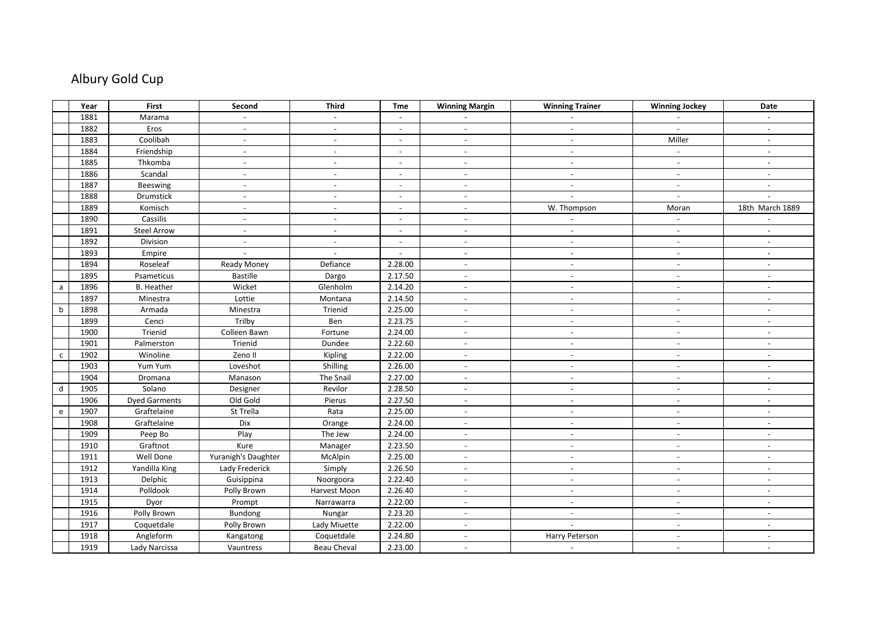## Albury Gold Cup

|              | Year | First                | Second                   | <b>Third</b>              | Tme                      | <b>Winning Margin</b>    | <b>Winning Trainer</b>   | <b>Winning Jockey</b>    | Date                     |
|--------------|------|----------------------|--------------------------|---------------------------|--------------------------|--------------------------|--------------------------|--------------------------|--------------------------|
|              | 1881 | Marama               | $\mathbb{L}$             | $\mathbb{Z}^{\mathbb{Z}}$ | $\sim$                   |                          | $\overline{a}$           | $\mathbb{L}$             |                          |
|              | 1882 | Eros                 | $ \,$                    | $\overline{\phantom{a}}$  | $\overline{\phantom{a}}$ | $\overline{\phantom{a}}$ | $\overline{\phantom{a}}$ | $\overline{\phantom{a}}$ | $\overline{\phantom{a}}$ |
|              | 1883 | Coolibah             | $\overline{\phantom{a}}$ | $\blacksquare$            | $\overline{\phantom{a}}$ | $\sim$                   | $\overline{\phantom{a}}$ | Miller                   | $\overline{\phantom{a}}$ |
|              | 1884 | Friendship           | $\overline{a}$           | $\overline{a}$            | $\overline{\phantom{a}}$ | $\sim$                   | $\overline{\phantom{a}}$ | $\sim$                   | $\overline{\phantom{a}}$ |
|              | 1885 | Thkomba              | $\overline{\phantom{a}}$ | $\overline{\phantom{a}}$  | $\overline{\phantom{a}}$ | $\overline{\phantom{a}}$ | $\overline{\phantom{a}}$ | $\overline{\phantom{a}}$ | $\overline{\phantom{a}}$ |
|              | 1886 | Scandal              | $\overline{\phantom{a}}$ | $\overline{a}$            | $\overline{\phantom{a}}$ | $\overline{\phantom{a}}$ |                          | $\overline{\phantom{a}}$ | $\overline{a}$           |
|              | 1887 | <b>Beeswing</b>      | $\overline{a}$           | $\overline{a}$            | $\overline{\phantom{a}}$ | $\overline{\phantom{a}}$ | $\overline{a}$           | $\mathbb{Z}^2$           | $\overline{a}$           |
|              | 1888 | Drumstick            | $\overline{\phantom{a}}$ | $\overline{\phantom{a}}$  | $\overline{\phantom{a}}$ | $\sim$                   | $\overline{\phantom{a}}$ | $\overline{\phantom{a}}$ | $\overline{\phantom{a}}$ |
|              | 1889 | Komisch              | $\overline{\phantom{a}}$ | $\overline{a}$            | $\overline{\phantom{a}}$ | $\sim$                   | W. Thompson              | Moran                    | 18th March 1889          |
|              | 1890 | Cassilis             | $\overline{\phantom{a}}$ | $\overline{\phantom{a}}$  | $\overline{\phantom{a}}$ | $\sim$                   |                          | $\sim$                   |                          |
|              | 1891 | <b>Steel Arrow</b>   | $\overline{\phantom{a}}$ | $\blacksquare$            | $\overline{\phantom{a}}$ | $\overline{\phantom{a}}$ | $\overline{\phantom{a}}$ | $\overline{\phantom{a}}$ | $\blacksquare$           |
|              | 1892 | Division             | $\sim$                   | $\blacksquare$            | $\sim$                   | $\sim$                   | $\blacksquare$           | $\overline{\phantom{a}}$ | $\blacksquare$           |
|              | 1893 | Empire               |                          |                           | $\blacksquare$           | $\overline{\phantom{a}}$ | $\blacksquare$           | $\overline{\phantom{a}}$ | $\overline{\phantom{0}}$ |
|              | 1894 | Roseleaf             | Ready Money              | Defiance                  | 2.28.00                  | $\overline{\phantom{a}}$ | $\overline{\phantom{a}}$ | $\sim$                   | $\blacksquare$           |
|              | 1895 | Psameticus           | <b>Bastille</b>          | Dargo                     | 2.17.50                  | $\sim$                   | $\overline{\phantom{a}}$ | $\overline{\phantom{a}}$ | $ \,$                    |
| a            | 1896 | <b>B.</b> Heather    | Wicket                   | Glenholm                  | 2.14.20                  | $\overline{\phantom{a}}$ | $\overline{\phantom{a}}$ | $\overline{\phantom{a}}$ | $\overline{\phantom{a}}$ |
|              | 1897 | Minestra             | Lottie                   | Montana                   | 2.14.50                  | $\overline{\phantom{a}}$ | $\overline{\phantom{a}}$ | $\overline{\phantom{a}}$ | $\blacksquare$           |
| b            | 1898 | Armada               | Minestra                 | Trienid                   | 2.25.00                  | $\overline{\phantom{a}}$ | $\overline{\phantom{a}}$ | $\overline{\phantom{a}}$ | $\overline{\phantom{a}}$ |
|              | 1899 | Cenci                | Trilby                   | Ben                       | 2.23.75                  | $\overline{\phantom{a}}$ | $\overline{\phantom{a}}$ | $\overline{\phantom{a}}$ | $\overline{\phantom{a}}$ |
|              | 1900 | Trienid              | Colleen Bawn             | Fortune                   | 2.24.00                  | $\mathbb{L}$             | $\sim$                   | $\blacksquare$           | $\overline{a}$           |
|              | 1901 | Palmerston           | Trienid                  | Dundee                    | 2.22.60                  | $\sim$                   | $\overline{\phantom{a}}$ | $\overline{\phantom{a}}$ | $\overline{\phantom{a}}$ |
| $\mathsf{C}$ | 1902 | Winoline             | Zeno II                  | Kipling                   | 2.22.00                  | $\overline{\phantom{a}}$ | $\overline{\phantom{a}}$ | $\overline{\phantom{a}}$ | $\overline{\phantom{a}}$ |
|              | 1903 | Yum Yum              | Loveshot                 | Shilling                  | 2.26.00                  | $\sim$                   | $\overline{\phantom{a}}$ | $\mathbb{L}$             | $\overline{a}$           |
|              | 1904 | Dromana              | Manason                  | The Snail                 | 2.27.00                  | $\overline{\phantom{a}}$ | $\overline{\phantom{a}}$ | $\overline{\phantom{a}}$ | $\overline{\phantom{a}}$ |
| d            | 1905 | Solano               | Designer                 | Revilor                   | 2.28.50                  | $\overline{\phantom{a}}$ |                          | $\overline{\phantom{a}}$ | $\overline{\phantom{a}}$ |
|              | 1906 | <b>Dyed Garments</b> | Old Gold                 | Pierus                    | 2.27.50                  | $\sim$                   | $\sim$                   | $\mathbb{L}$             | $\overline{a}$           |
| e            | 1907 | Graftelaine          | St Trella                | Rata                      | 2.25.00                  | $\overline{\phantom{a}}$ | $\overline{\phantom{a}}$ | $\overline{\phantom{a}}$ | $\overline{\phantom{a}}$ |
|              | 1908 | Graftelaine          | Dix                      | Orange                    | 2.24.00                  | $\overline{\phantom{a}}$ | $\overline{\phantom{a}}$ | $\overline{\phantom{a}}$ | $\overline{\phantom{a}}$ |
|              | 1909 | Peep Bo              | Play                     | The Jew                   | 2.24.00                  | $\overline{\phantom{a}}$ | $\overline{\phantom{a}}$ | $\overline{\phantom{a}}$ | $\overline{\phantom{a}}$ |
|              | 1910 | Graftnot             | Kure                     | Manager                   | 2.23.50                  | $\overline{\phantom{a}}$ | $\overline{a}$           | $\overline{a}$           | $\overline{\phantom{a}}$ |
|              | 1911 | Well Done            | Yuranigh's Daughter      | McAlpin                   | 2.25.00                  | $\blacksquare$           | $\overline{\phantom{a}}$ | $\overline{\phantom{a}}$ | $\overline{\phantom{a}}$ |
|              | 1912 | Yandilla King        | Lady Frederick           | Simply                    | 2.26.50                  | $\sim$                   | $\overline{a}$           | $\overline{a}$           | $\overline{a}$           |
|              | 1913 | Delphic              | Guisippina               | Noorgoora                 | 2.22.40                  | $\sim$                   | $\overline{\phantom{a}}$ | $\overline{\phantom{a}}$ | $\overline{\phantom{a}}$ |
|              | 1914 | Polldook             | Polly Brown              | Harvest Moon              | 2.26.40                  | $\overline{\phantom{a}}$ | $\overline{\phantom{a}}$ | $\sim$                   | $ \,$                    |
|              | 1915 | Dyor                 | Prompt                   | Narrawarra                | 2.22.00                  | $\overline{\phantom{a}}$ | $\overline{\phantom{a}}$ | $\blacksquare$           | $\overline{\phantom{a}}$ |
|              | 1916 | Polly Brown          | Bundong                  | Nungar                    | 2.23.20                  | $\overline{\phantom{a}}$ | $\overline{\phantom{a}}$ | $\overline{\phantom{a}}$ | $\overline{\phantom{a}}$ |
|              | 1917 | Coquetdale           | Polly Brown              | Lady Miuette              | 2.22.00                  | $\overline{\phantom{a}}$ |                          | $\sim$                   | $\blacksquare$           |
|              | 1918 | Angleform            | Kangatong                | Coquetdale                | 2.24.80                  | $\sim$                   | Harry Peterson           | $\sim$                   |                          |
|              | 1919 | Lady Narcissa        | Vauntress                | <b>Beau Cheval</b>        | 2.23.00                  | $\overline{\phantom{a}}$ | $\overline{\phantom{a}}$ | $\overline{\phantom{a}}$ | $\overline{\phantom{a}}$ |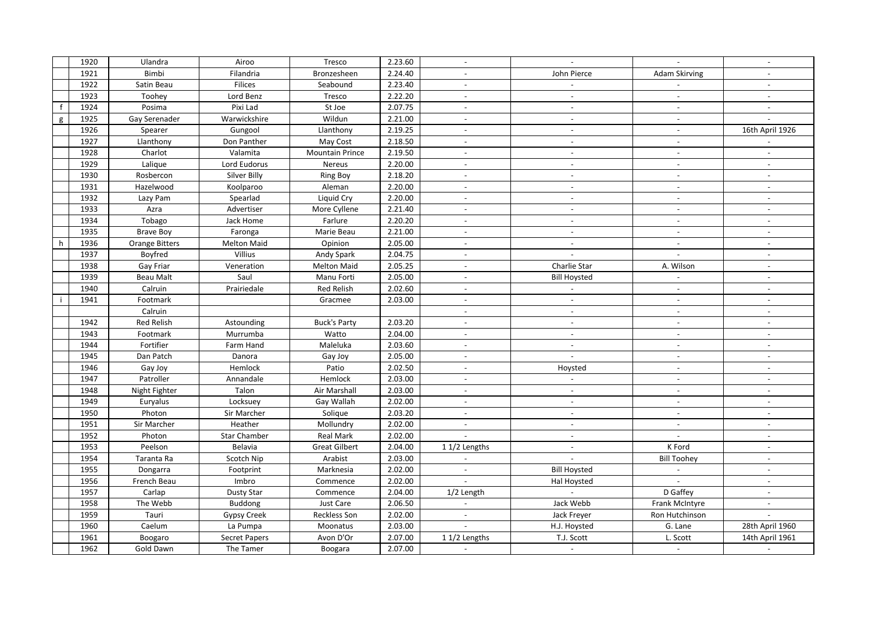|   | 1920 | Ulandra               | Airoo               | Tresco                 | 2.23.60 |                          | $\blacksquare$              | $\overline{\phantom{a}}$ | $\overline{\phantom{a}}$ |
|---|------|-----------------------|---------------------|------------------------|---------|--------------------------|-----------------------------|--------------------------|--------------------------|
|   | 1921 | Bimbi                 | Filandria           | Bronzesheen            | 2.24.40 |                          | John Pierce                 | <b>Adam Skirving</b>     |                          |
|   | 1922 | Satin Beau            | Filices             | Seabound               | 2.23.40 | $\overline{\phantom{a}}$ | $\overline{\phantom{a}}$    | $\mathbb{L}$             | $\overline{\phantom{a}}$ |
|   | 1923 | Toohey                | Lord Benz           | Tresco                 | 2.22.20 | $\overline{\phantom{a}}$ | $\overline{\phantom{a}}$    | $\overline{\phantom{a}}$ | $\overline{\phantom{a}}$ |
|   | 1924 | Posima                | Pixi Lad            | St Joe                 | 2.07.75 |                          |                             | $\overline{\phantom{a}}$ | $\blacksquare$           |
| g | 1925 | Gay Serenader         | Warwickshire        | Wildun                 | 2.21.00 | $\overline{\phantom{a}}$ | $\overline{\phantom{a}}$    | $\sim$                   | $\sim$                   |
|   | 1926 | Spearer               | Gungool             | Llanthony              | 2.19.25 | $\overline{\phantom{a}}$ | $\overline{\phantom{a}}$    | $\overline{\phantom{a}}$ | 16th April 1926          |
|   | 1927 | Llanthony             | Don Panther         | May Cost               | 2.18.50 | $\overline{\phantom{a}}$ | $\sim$                      | $\overline{\phantom{a}}$ | $\blacksquare$           |
|   | 1928 | Charlot               | Valamita            | <b>Mountain Prince</b> | 2.19.50 |                          | $\overline{a}$              | $\overline{a}$           | $\overline{a}$           |
|   | 1929 | Lalique               | Lord Eudorus        | Nereus                 | 2.20.00 | $\overline{\phantom{a}}$ | $\sim$                      | $\sim$                   | $\sim$                   |
|   | 1930 | Rosbercon             | Silver Billy        | <b>Ring Boy</b>        | 2.18.20 | $\overline{a}$           | $\overline{a}$              | $\overline{a}$           | $\overline{\phantom{a}}$ |
|   | 1931 | Hazelwood             | Koolparoo           | Aleman                 | 2.20.00 |                          |                             | $\overline{a}$           | $\overline{\phantom{0}}$ |
|   | 1932 | Lazy Pam              | Spearlad            | Liquid Cry             | 2.20.00 | $\overline{\phantom{a}}$ | $\overline{\phantom{a}}$    | $\overline{\phantom{a}}$ | $\overline{\phantom{a}}$ |
|   | 1933 | Azra                  | Advertiser          | More Cyllene           | 2.21.40 | $\overline{\phantom{a}}$ | $\overline{a}$              | $\overline{a}$           | $\overline{a}$           |
|   | 1934 | Tobago                | Jack Home           | Farlure                | 2.20.20 |                          |                             |                          | $\overline{a}$           |
|   | 1935 | <b>Brave Boy</b>      | Faronga             | Marie Beau             | 2.21.00 | $\overline{\phantom{a}}$ | $\sim$                      | $\sim$                   | $\overline{\phantom{a}}$ |
| h | 1936 | <b>Orange Bitters</b> | <b>Melton Maid</b>  | Opinion                | 2.05.00 | $\overline{\phantom{a}}$ | $\overline{\phantom{a}}$    | $\overline{\phantom{a}}$ | $\overline{\phantom{a}}$ |
|   | 1937 | Boyfred               | Villius             | Andy Spark             | 2.04.75 |                          |                             | $\overline{\phantom{a}}$ | $\overline{\phantom{a}}$ |
|   | 1938 | Gay Friar             | Veneration          | <b>Melton Maid</b>     | 2.05.25 | $\overline{\phantom{a}}$ | Charlie Star                | A. Wilson                | $\blacksquare$           |
|   | 1939 | <b>Beau Malt</b>      | Saul                | Manu Forti             | 2.05.00 | $\overline{\phantom{a}}$ | <b>Bill Hoysted</b>         | $\blacksquare$           | $\overline{\phantom{a}}$ |
|   | 1940 | Calruin               | Prairiedale         | <b>Red Relish</b>      | 2.02.60 | $\overline{\phantom{a}}$ |                             | $\overline{\phantom{a}}$ | $\overline{\phantom{a}}$ |
|   | 1941 | Footmark              |                     | Gracmee                | 2.03.00 | $\overline{a}$           | $\overline{a}$              | $\overline{\phantom{a}}$ | $\overline{a}$           |
|   |      | Calruin               |                     |                        |         | $\overline{\phantom{a}}$ | $\overline{\phantom{a}}$    | $\sim$                   | $\blacksquare$           |
|   | 1942 | Red Relish            | Astounding          | <b>Buck's Party</b>    | 2.03.20 | $\overline{\phantom{a}}$ | $\overline{\phantom{a}}$    | $\overline{\phantom{a}}$ | $\overline{a}$           |
|   | 1943 | Footmark              | Murrumba            | Watto                  | 2.04.00 |                          | $\overline{a}$              | $\sim$                   | $\overline{a}$           |
|   | 1944 | Fortifier             | Farm Hand           | Maleluka               | 2.03.60 | $\overline{\phantom{a}}$ | $\overline{\phantom{a}}$    | $\overline{\phantom{a}}$ | $\overline{\phantom{a}}$ |
|   | 1945 | Dan Patch             | Danora              | Gay Joy                | 2.05.00 | $\overline{\phantom{a}}$ | $\blacksquare$              | $\overline{\phantom{a}}$ | $\overline{a}$           |
|   | 1946 | Gay Joy               | Hemlock             | Patio                  | 2.02.50 |                          | Hoysted                     | $\overline{a}$           |                          |
|   | 1947 | Patroller             | Annandale           | Hemlock                | 2.03.00 | $\overline{\phantom{a}}$ | $\mathcal{L}_{\mathcal{A}}$ | $\sim$                   | $\overline{\phantom{a}}$ |
|   | 1948 | Night Fighter         | Talon               | Air Marshall           | 2.03.00 | $\overline{\phantom{a}}$ | $\overline{\phantom{a}}$    | $\overline{\phantom{a}}$ | $\overline{\phantom{a}}$ |
|   | 1949 | Euryalus              | Locksuey            | Gay Wallah             | 2.02.00 |                          |                             | $\overline{\phantom{a}}$ | $\overline{\phantom{a}}$ |
|   | 1950 | Photon                | Sir Marcher         | Solique                | 2.03.20 | $\mathbb{L}$             | $\mathbb{L}^{\mathbb{N}}$   | $\sim$                   | $\blacksquare$           |
|   | 1951 | Sir Marcher           | Heather             | Mollundry              | 2.02.00 | $\overline{\phantom{a}}$ | $\overline{\phantom{a}}$    | $\overline{\phantom{a}}$ | $\overline{\phantom{a}}$ |
|   | 1952 | Photon                | <b>Star Chamber</b> | Real Mark              | 2.02.00 |                          | $\overline{\phantom{a}}$    | $\overline{\phantom{a}}$ | $\overline{\phantom{a}}$ |
|   | 1953 | Peelson               | Belavia             | <b>Great Gilbert</b>   | 2.04.00 | 11/2 Lengths             | $\overline{a}$              | K Ford                   | $\blacksquare$           |
|   | 1954 | Taranta Ra            | Scotch Nip          | Arabist                | 2.03.00 |                          |                             | <b>Bill Toohey</b>       | $\blacksquare$           |
|   | 1955 | Dongarra              | Footprint           | Marknesia              | 2.02.00 | $\sim$                   | <b>Bill Hoysted</b>         | $\overline{\phantom{a}}$ | $\overline{\phantom{a}}$ |
|   | 1956 | French Beau           | Imbro               | Commence               | 2.02.00 |                          | Hal Hoysted                 |                          | $\overline{\phantom{a}}$ |
|   | 1957 | Carlap                | <b>Dusty Star</b>   | Commence               | 2.04.00 | 1/2 Length               |                             | D Gaffey                 | $\overline{a}$           |
|   | 1958 | The Webb              | <b>Buddong</b>      | Just Care              | 2.06.50 |                          | Jack Webb                   | Frank McIntyre           | $\blacksquare$           |
|   | 1959 | Tauri                 | <b>Gypsy Creek</b>  | <b>Reckless Son</b>    | 2.02.00 |                          | Jack Freyer                 | Ron Hutchinson           |                          |
|   | 1960 | Caelum                | La Pumpa            | Moonatus               | 2.03.00 | $\overline{\phantom{a}}$ | H.J. Hoysted                | G. Lane                  | 28th April 1960          |
|   | 1961 | Boogaro               | Secret Papers       | Avon D'Or              | 2.07.00 | 11/2 Lengths             | T.J. Scott                  | L. Scott                 | 14th April 1961          |
|   | 1962 | Gold Dawn             | The Tamer           | Boogara                | 2.07.00 |                          |                             | $\overline{\phantom{a}}$ |                          |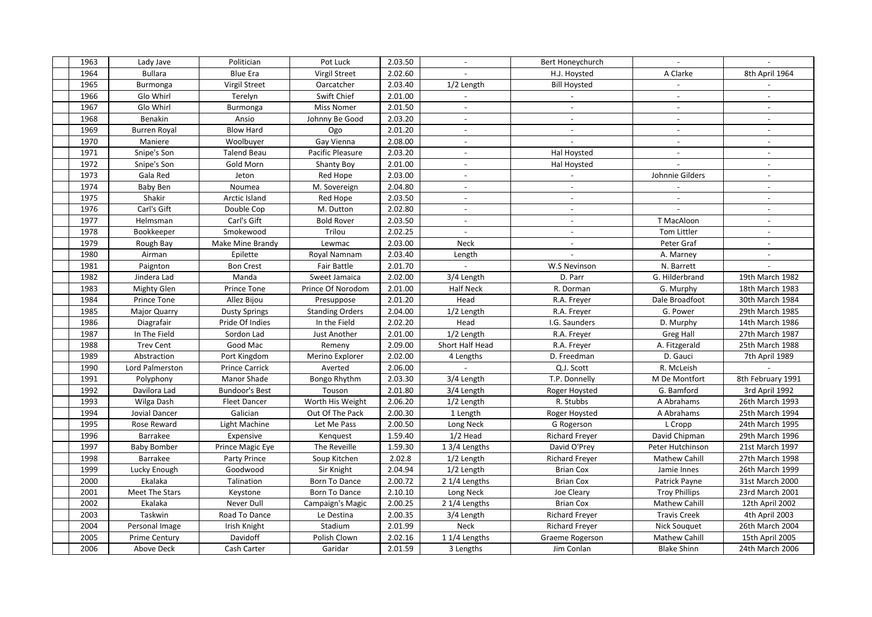| 1963 | Lady Jave            | Politician            | Pot Luck               | 2.03.50 | $\overline{\phantom{a}}$ |                                  | $\mathbf{r}$             | $\mathbb{L}$             |
|------|----------------------|-----------------------|------------------------|---------|--------------------------|----------------------------------|--------------------------|--------------------------|
| 1964 | <b>Bullara</b>       | <b>Blue Era</b>       | <b>Virgil Street</b>   | 2.02.60 |                          | Bert Honeychurch<br>H.J. Hoysted | A Clarke                 | 8th April 1964           |
| 1965 | Burmonga             | Virgil Street         | Oarcatcher             | 2.03.40 | $1/2$ Length             | <b>Bill Hoysted</b>              |                          |                          |
| 1966 | Glo Whirl            | Terelyn               | Swift Chief            | 2.01.00 |                          |                                  | $\overline{\phantom{a}}$ |                          |
| 1967 | Glo Whirl            |                       | <b>Miss Nomer</b>      | 2.01.50 |                          |                                  |                          |                          |
| 1968 | Benakin              | Burmonga<br>Ansio     | Johnny Be Good         | 2.03.20 | $\overline{\phantom{a}}$ | $\sim$                           | $\sim$                   | $\sim$                   |
| 1969 |                      | <b>Blow Hard</b>      |                        | 2.01.20 |                          |                                  |                          |                          |
|      | <b>Burren Royal</b>  |                       | Ogo                    |         | $\overline{\phantom{a}}$ | $\overline{\phantom{a}}$         | $\overline{\phantom{a}}$ | $\overline{\phantom{a}}$ |
| 1970 | Maniere              | Woolbuyer             | Gay Vienna             | 2.08.00 | $\overline{\phantom{a}}$ |                                  | $\overline{\phantom{a}}$ | $\overline{\phantom{a}}$ |
| 1971 | Snipe's Son          | <b>Talend Beau</b>    | Pacific Pleasure       | 2.03.20 | $\overline{\phantom{a}}$ | Hal Hoysted                      | $\mathbb{L}$             | $\overline{\phantom{a}}$ |
| 1972 | Snipe's Son          | Gold Morn             | <b>Shanty Boy</b>      | 2.01.00 |                          | Hal Hoysted                      |                          | $\overline{\phantom{a}}$ |
| 1973 | Gala Red             | Jeton                 | Red Hope               | 2.03.00 | $\overline{\phantom{a}}$ | $\blacksquare$                   | Johnnie Gilders          | $\overline{\phantom{a}}$ |
| 1974 | Baby Ben             | Noumea                | M. Sovereign           | 2.04.80 |                          |                                  |                          | $\overline{\phantom{a}}$ |
| 1975 | Shakir               | Arctic Island         | Red Hope               | 2.03.50 | $\overline{\phantom{a}}$ | $\overline{\phantom{a}}$         | $\overline{\phantom{a}}$ | $\sim$                   |
| 1976 | Carl's Gift          | Double Cop            | M. Dutton              | 2.02.80 | $\sim$                   | $\overline{\phantom{a}}$         |                          | $\blacksquare$           |
| 1977 | Helmsman             | Carl's Gift           | <b>Bold Rover</b>      | 2.03.50 |                          |                                  | T MacAloon               |                          |
| 1978 | Bookkeeper           | Smokewood             | Trilou                 | 2.02.25 | $\sim$                   | $\blacksquare$                   | <b>Tom Littler</b>       | $\sim$                   |
| 1979 | Rough Bay            | Make Mine Brandy      | Lewmac                 | 2.03.00 | Neck                     | $\overline{\phantom{a}}$         | Peter Graf               | $\overline{\phantom{a}}$ |
| 1980 | Airman               | Epilette              | Royal Namnam           | 2.03.40 | Length                   |                                  | A. Marney                |                          |
| 1981 | Paignton             | <b>Bon Crest</b>      | Fair Battle            | 2.01.70 | $\mathbb{Z}^2$           | W.S Nevinson                     | N. Barrett               |                          |
| 1982 | Jindera Lad          | Manda                 | Sweet Jamaica          | 2.02.00 | 3/4 Length               | D. Parr                          | G. Hilderbrand           | 19th March 1982          |
| 1983 | <b>Mighty Glen</b>   | Prince Tone           | Prince Of Norodom      | 2.01.00 | Half Neck                | R. Dorman                        | G. Murphy                | 18th March 1983          |
| 1984 | Prince Tone          | Allez Bijou           | Presuppose             | 2.01.20 | Head                     | R.A. Freyer                      | Dale Broadfoot           | 30th March 1984          |
| 1985 | Major Quarry         | <b>Dusty Springs</b>  | <b>Standing Orders</b> | 2.04.00 | 1/2 Length               | R.A. Freyer                      | G. Power                 | 29th March 1985          |
| 1986 | Diagrafair           | Pride Of Indies       | In the Field           | 2.02.20 | Head                     | I.G. Saunders                    | D. Murphy                | 14th March 1986          |
| 1987 | In The Field         | Sordon Lad            | Just Another           | 2.01.00 | 1/2 Length               | R.A. Freyer                      | <b>Greg Hall</b>         | 27th March 1987          |
| 1988 | <b>Trev Cent</b>     | Good Mac              | Remeny                 | 2.09.00 | Short Half Head          | R.A. Freyer                      | A. Fitzgerald            | 25th March 1988          |
| 1989 | Abstraction          | Port Kingdom          | Merino Explorer        | 2.02.00 | 4 Lengths                | D. Freedman                      | D. Gauci                 | 7th April 1989           |
| 1990 | Lord Palmerston      | <b>Prince Carrick</b> | Averted                | 2.06.00 |                          | Q.J. Scott                       | R. McLeish               |                          |
| 1991 | Polyphony            | Manor Shade           | Bongo Rhythm           | 2.03.30 | $\overline{3}/4$ Length  | T.P. Donnelly                    | M De Montfort            | 8th February 1991        |
| 1992 | Davilora Lad         | <b>Bundoor's Best</b> | Touson                 | 2.01.80 | 3/4 Length               | Roger Hoysted                    | G. Bamford               | 3rd April 1992           |
| 1993 | Wilga Dash           | <b>Fleet Dancer</b>   | Worth His Weight       | 2.06.20 | $1/2$ Length             | R. Stubbs                        | A Abrahams               | 26th March 1993          |
| 1994 | Jovial Dancer        | Galician              | Out Of The Pack        | 2.00.30 | 1 Length                 | Roger Hoysted                    | A Abrahams               | 25th March 1994          |
| 1995 | Rose Reward          | Light Machine         | Let Me Pass            | 2.00.50 | Long Neck                | G Rogerson                       | L Cropp                  | 24th March 1995          |
| 1996 | Barrakee             | Expensive             | Kenquest               | 1.59.40 | $1/2$ Head               | Richard Freyer                   | David Chipman            | 29th March 1996          |
| 1997 | <b>Baby Bomber</b>   | Prince Magic Eye      | The Reveille           | 1.59.30 | 1 3/4 Lengths            | David O'Prey                     | Peter Hutchinson         | 21st March 1997          |
| 1998 | Barrakee             | Party Prince          | Soup Kitchen           | 2.02.8  | $1/2$ Length             | Richard Freyer                   | Mathew Cahill            | 27th March 1998          |
| 1999 | Lucky Enough         | Goodwood              | Sir Knight             | 2.04.94 | 1/2 Length               | <b>Brian Cox</b>                 | Jamie Innes              | 26th March 1999          |
| 2000 | Ekalaka              | Talination            | Born To Dance          | 2.00.72 | 2 1/4 Lengths            | <b>Brian Cox</b>                 | Patrick Payne            | 31st March 2000          |
| 2001 | Meet The Stars       | Keystone              | Born To Dance          | 2.10.10 | Long Neck                | Joe Cleary                       | <b>Troy Phillips</b>     | 23rd March 2001          |
| 2002 | Ekalaka              | Never Dull            | Campaign's Magic       | 2.00.25 | 2 1/4 Lengths            | <b>Brian Cox</b>                 | Mathew Cahill            | 12th April 2002          |
| 2003 | Taskwin              | Road To Dance         | Le Destina             | 2.00.35 | 3/4 Length               | Richard Freyer                   | <b>Travis Creek</b>      | 4th April 2003           |
| 2004 | Personal Image       | Irish Knight          | Stadium                | 2.01.99 | Neck                     | <b>Richard Freyer</b>            | Nick Souquet             | 26th March 2004          |
| 2005 | <b>Prime Century</b> | Davidoff              | Polish Clown           | 2.02.16 | 11/4 Lengths             | Graeme Rogerson                  | <b>Mathew Cahill</b>     | 15th April 2005          |
|      |                      |                       |                        |         |                          |                                  |                          |                          |